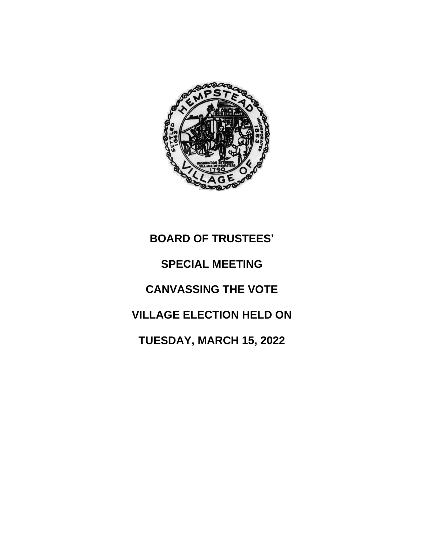

## **BOARD OF TRUSTEES' SPECIAL MEETING CANVASSING THE VOTE VILLAGE ELECTION HELD ON TUESDAY, MARCH 15, 2022**